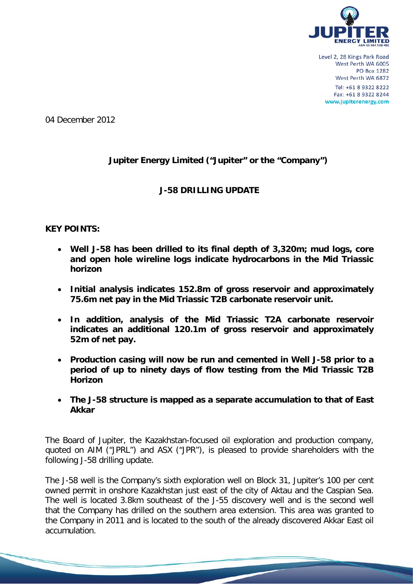

04 December 2012

# **Jupiter Energy Limited ("Jupiter" or the "Company")**

# **J-58 DRILLING UPDATE**

### **KEY POINTS:**

- **Well J-58 has been drilled to its final depth of 3,320m; mud logs, core and open hole wireline logs indicate hydrocarbons in the Mid Triassic horizon**
- **Initial analysis indicates 152.8m of gross reservoir and approximately 75.6m net pay in the Mid Triassic T2B carbonate reservoir unit.**
- **In addition, analysis of the Mid Triassic T2A carbonate reservoir indicates an additional 120.1m of gross reservoir and approximately 52m of net pay.**
- **Production casing will now be run and cemented in Well J-58 prior to a period of up to ninety days of flow testing from the Mid Triassic T2B Horizon**
- **The J-58 structure is mapped as a separate accumulation to that of East Akkar**

The Board of Jupiter, the Kazakhstan-focused oil exploration and production company, quoted on AIM ("JPRL") and ASX ("JPR"), is pleased to provide shareholders with the following J-58 drilling update.

The J-58 well is the Company's sixth exploration well on Block 31, Jupiter's 100 per cent owned permit in onshore Kazakhstan just east of the city of Aktau and the Caspian Sea. The well is located 3.8km southeast of the J-55 discovery well and is the second well that the Company has drilled on the southern area extension. This area was granted to the Company in 2011 and is located to the south of the already discovered Akkar East oil accumulation.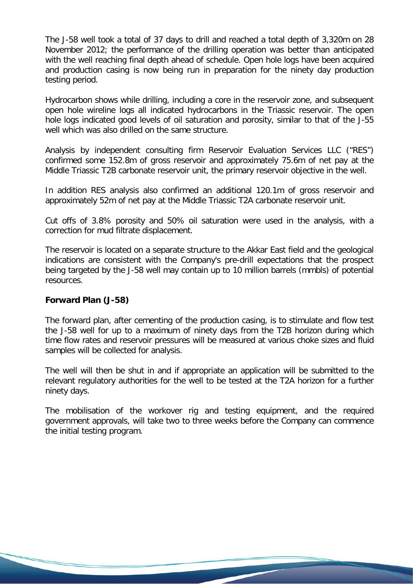The J-58 well took a total of 37 days to drill and reached a total depth of 3,320m on 28 November 2012; the performance of the drilling operation was better than anticipated with the well reaching final depth ahead of schedule. Open hole logs have been acquired and production casing is now being run in preparation for the ninety day production testing period.

Hydrocarbon shows while drilling, including a core in the reservoir zone, and subsequent open hole wireline logs all indicated hydrocarbons in the Triassic reservoir. The open hole logs indicated good levels of oil saturation and porosity, similar to that of the J-55 well which was also drilled on the same structure.

Analysis by independent consulting firm Reservoir Evaluation Services LLC ("RES") confirmed some 152.8m of gross reservoir and approximately 75.6m of net pay at the Middle Triassic T2B carbonate reservoir unit, the primary reservoir objective in the well.

In addition RES analysis also confirmed an additional 120.1m of gross reservoir and approximately 52m of net pay at the Middle Triassic T2A carbonate reservoir unit.

Cut offs of 3.8% porosity and 50% oil saturation were used in the analysis, with a correction for mud filtrate displacement.

The reservoir is located on a separate structure to the Akkar East field and the geological indications are consistent with the Company's pre-drill expectations that the prospect being targeted by the J-58 well may contain up to 10 million barrels (mmbls) of potential resources.

# **Forward Plan (J-58)**

The forward plan, after cementing of the production casing, is to stimulate and flow test the J-58 well for up to a maximum of ninety days from the T2B horizon during which time flow rates and reservoir pressures will be measured at various choke sizes and fluid samples will be collected for analysis.

The well will then be shut in and if appropriate an application will be submitted to the relevant regulatory authorities for the well to be tested at the T2A horizon for a further ninety days.

The mobilisation of the workover rig and testing equipment, and the required government approvals, will take two to three weeks before the Company can commence the initial testing program.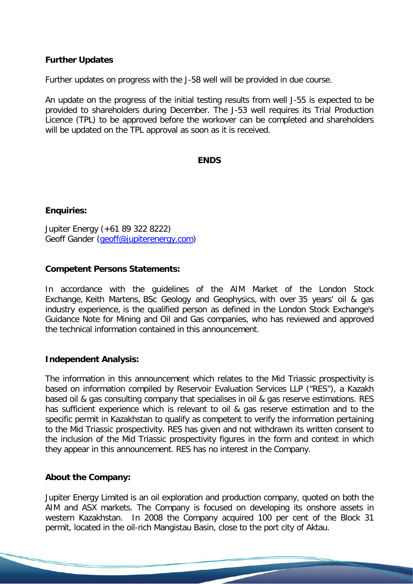# **Further Updates**

Further updates on progress with the J-58 well will be provided in due course.

An update on the progress of the initial testing results from well J-55 is expected to be provided to shareholders during December. The J-53 well requires its Trial Production Licence (TPL) to be approved before the workover can be completed and shareholders will be updated on the TPL approval as soon as it is received.

#### **ENDS**

### **Enquiries:**

Jupiter Energy (+61 89 322 8222) Geoff Gander [\(geoff@jupiterenergy.com\)](mailto:geoff@jupiterenergy.com)

### **Competent Persons Statements:**

In accordance with the guidelines of the AIM Market of the London Stock Exchange, Keith Martens, BSc Geology and Geophysics, with over 35 years' oil & gas industry experience, is the qualified person as defined in the London Stock Exchange's Guidance Note for Mining and Oil and Gas companies, who has reviewed and approved the technical information contained in this announcement.

#### **Independent Analysis:**

The information in this announcement which relates to the Mid Triassic prospectivity is based on information compiled by Reservoir Evaluation Services LLP ("RES"), a Kazakh based oil & gas consulting company that specialises in oil & gas reserve estimations. RES has sufficient experience which is relevant to oil & gas reserve estimation and to the specific permit in Kazakhstan to qualify as competent to verify the information pertaining to the Mid Triassic prospectivity. RES has given and not withdrawn its written consent to the inclusion of the Mid Triassic prospectivity figures in the form and context in which they appear in this announcement. RES has no interest in the Company.

# **About the Company:**

Jupiter Energy Limited is an oil exploration and production company, quoted on both the AIM and ASX markets. The Company is focused on developing its onshore assets in western Kazakhstan. In 2008 the Company acquired 100 per cent of the Block 31 permit, located in the oil-rich Mangistau Basin, close to the port city of Aktau.